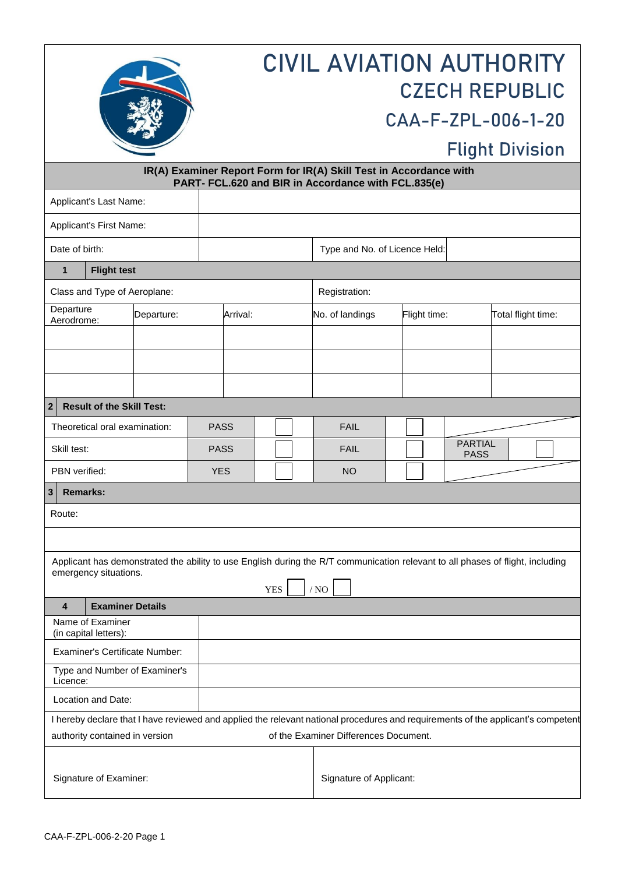|                                                                                                                                                                               |            |             | <b>CIVIL AVIATION AUTHORITY</b><br><b>CZECH REPUBLIC</b><br>CAA-F-ZPL-006-1-20<br><b>Flight Division</b> |                               |              |                               |                    |  |  |  |  |  |  |
|-------------------------------------------------------------------------------------------------------------------------------------------------------------------------------|------------|-------------|----------------------------------------------------------------------------------------------------------|-------------------------------|--------------|-------------------------------|--------------------|--|--|--|--|--|--|
| IR(A) Examiner Report Form for IR(A) Skill Test in Accordance with<br>PART- FCL.620 and BIR in Accordance with FCL.835(e)                                                     |            |             |                                                                                                          |                               |              |                               |                    |  |  |  |  |  |  |
| Applicant's Last Name:                                                                                                                                                        |            |             |                                                                                                          |                               |              |                               |                    |  |  |  |  |  |  |
| Applicant's First Name:                                                                                                                                                       |            |             |                                                                                                          |                               |              |                               |                    |  |  |  |  |  |  |
| Date of birth:                                                                                                                                                                |            |             |                                                                                                          | Type and No. of Licence Held: |              |                               |                    |  |  |  |  |  |  |
| <b>Flight test</b><br>$\mathbf{1}$                                                                                                                                            |            |             |                                                                                                          |                               |              |                               |                    |  |  |  |  |  |  |
| Class and Type of Aeroplane:                                                                                                                                                  |            |             |                                                                                                          | Registration:                 |              |                               |                    |  |  |  |  |  |  |
| Departure<br>Aerodrome:                                                                                                                                                       | Departure: |             | Arrival:                                                                                                 | No. of landings               | Flight time: |                               | Total flight time: |  |  |  |  |  |  |
|                                                                                                                                                                               |            |             |                                                                                                          |                               |              |                               |                    |  |  |  |  |  |  |
|                                                                                                                                                                               |            |             |                                                                                                          |                               |              |                               |                    |  |  |  |  |  |  |
|                                                                                                                                                                               |            |             |                                                                                                          |                               |              |                               |                    |  |  |  |  |  |  |
| $\mathbf 2$<br><b>Result of the Skill Test:</b>                                                                                                                               |            |             |                                                                                                          |                               |              |                               |                    |  |  |  |  |  |  |
| Theoretical oral examination:                                                                                                                                                 |            | <b>PASS</b> |                                                                                                          | <b>FAIL</b>                   |              |                               |                    |  |  |  |  |  |  |
| Skill test:                                                                                                                                                                   |            | <b>PASS</b> |                                                                                                          | <b>FAIL</b>                   |              | <b>PARTIAL</b><br><b>PASS</b> |                    |  |  |  |  |  |  |
| PBN verified:                                                                                                                                                                 |            | <b>YES</b>  |                                                                                                          | <b>NO</b>                     |              |                               |                    |  |  |  |  |  |  |
| $\mathbf{3}$<br>Remarks:                                                                                                                                                      |            |             |                                                                                                          |                               |              |                               |                    |  |  |  |  |  |  |
| Route:                                                                                                                                                                        |            |             |                                                                                                          |                               |              |                               |                    |  |  |  |  |  |  |
|                                                                                                                                                                               |            |             |                                                                                                          |                               |              |                               |                    |  |  |  |  |  |  |
| Applicant has demonstrated the ability to use English during the R/T communication relevant to all phases of flight, including<br>emergency situations.<br><b>YES</b><br>/ NO |            |             |                                                                                                          |                               |              |                               |                    |  |  |  |  |  |  |
| <b>Examiner Details</b><br>4                                                                                                                                                  |            |             |                                                                                                          |                               |              |                               |                    |  |  |  |  |  |  |
| Name of Examiner<br>(in capital letters):                                                                                                                                     |            |             |                                                                                                          |                               |              |                               |                    |  |  |  |  |  |  |
| <b>Examiner's Certificate Number:</b>                                                                                                                                         |            |             |                                                                                                          |                               |              |                               |                    |  |  |  |  |  |  |
| Type and Number of Examiner's<br>Licence:                                                                                                                                     |            |             |                                                                                                          |                               |              |                               |                    |  |  |  |  |  |  |
| Location and Date:                                                                                                                                                            |            |             |                                                                                                          |                               |              |                               |                    |  |  |  |  |  |  |
| I hereby declare that I have reviewed and applied the relevant national procedures and requirements of the applicant's competent                                              |            |             |                                                                                                          |                               |              |                               |                    |  |  |  |  |  |  |
| of the Examiner Differences Document.<br>authority contained in version                                                                                                       |            |             |                                                                                                          |                               |              |                               |                    |  |  |  |  |  |  |
| Signature of Examiner:                                                                                                                                                        |            |             | Signature of Applicant:                                                                                  |                               |              |                               |                    |  |  |  |  |  |  |